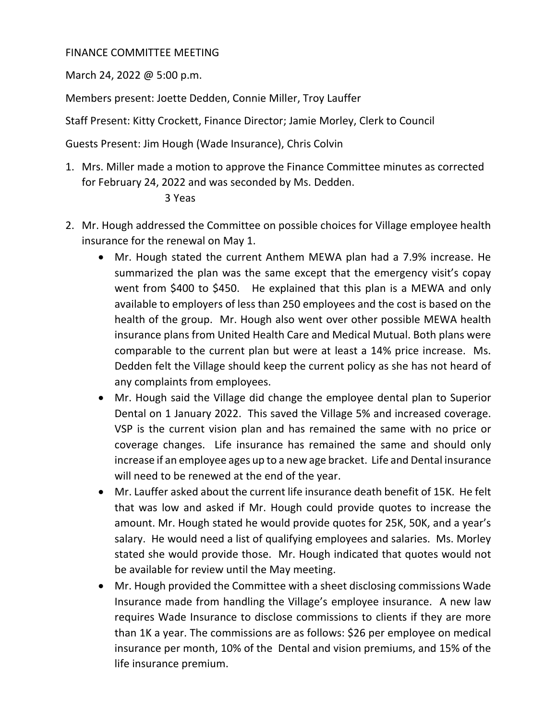# FINANCE COMMITTEE MEETING

March 24, 2022 @ 5:00 p.m.

Members present: Joette Dedden, Connie Miller, Troy Lauffer

Staff Present: Kitty Crockett, Finance Director; Jamie Morley, Clerk to Council

Guests Present: Jim Hough (Wade Insurance), Chris Colvin

1. Mrs. Miller made a motion to approve the Finance Committee minutes as corrected for February 24, 2022 and was seconded by Ms. Dedden.

## 3 Yeas

- 2. Mr. Hough addressed the Committee on possible choices for Village employee health insurance for the renewal on May 1.
	- Mr. Hough stated the current Anthem MEWA plan had a 7.9% increase. He summarized the plan was the same except that the emergency visit's copay went from \$400 to \$450. He explained that this plan is a MEWA and only available to employers of less than 250 employees and the cost is based on the health of the group. Mr. Hough also went over other possible MEWA health insurance plans from United Health Care and Medical Mutual. Both plans were comparable to the current plan but were at least a 14% price increase. Ms. Dedden felt the Village should keep the current policy as she has not heard of any complaints from employees.
	- Mr. Hough said the Village did change the employee dental plan to Superior Dental on 1 January 2022. This saved the Village 5% and increased coverage. VSP is the current vision plan and has remained the same with no price or coverage changes. Life insurance has remained the same and should only increase if an employee ages up to a new age bracket. Life and Dental insurance will need to be renewed at the end of the year.
	- Mr. Lauffer asked about the current life insurance death benefit of 15K. He felt that was low and asked if Mr. Hough could provide quotes to increase the amount. Mr. Hough stated he would provide quotes for 25K, 50K, and a year's salary. He would need a list of qualifying employees and salaries. Ms. Morley stated she would provide those. Mr. Hough indicated that quotes would not be available for review until the May meeting.
	- Mr. Hough provided the Committee with a sheet disclosing commissions Wade Insurance made from handling the Village's employee insurance. A new law requires Wade Insurance to disclose commissions to clients if they are more than 1K a year. The commissions are as follows: \$26 per employee on medical insurance per month, 10% of the Dental and vision premiums, and 15% of the life insurance premium.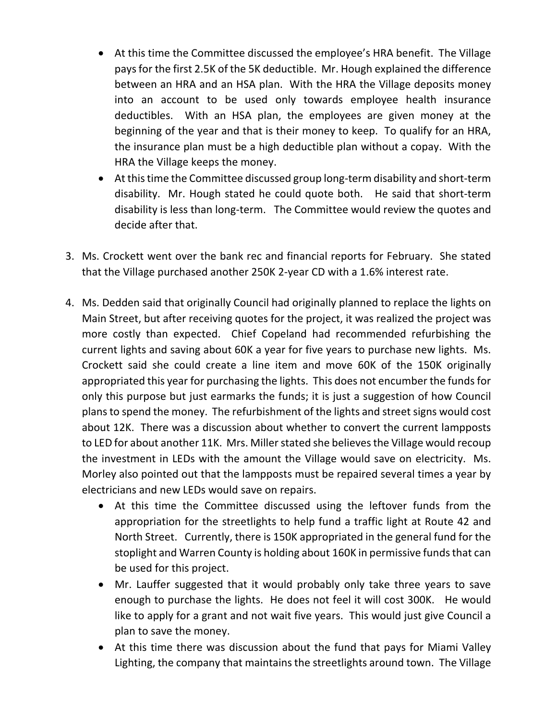- At this time the Committee discussed the employee's HRA benefit. The Village pays for the first 2.5K of the 5K deductible. Mr. Hough explained the difference between an HRA and an HSA plan. With the HRA the Village deposits money into an account to be used only towards employee health insurance deductibles. With an HSA plan, the employees are given money at the beginning of the year and that is their money to keep. To qualify for an HRA, the insurance plan must be a high deductible plan without a copay. With the HRA the Village keeps the money.
- At this time the Committee discussed group long-term disability and short-term disability. Mr. Hough stated he could quote both. He said that short-term disability is less than long-term. The Committee would review the quotes and decide after that.
- 3. Ms. Crockett went over the bank rec and financial reports for February. She stated that the Village purchased another 250K 2-year CD with a 1.6% interest rate.
- 4. Ms. Dedden said that originally Council had originally planned to replace the lights on Main Street, but after receiving quotes for the project, it was realized the project was more costly than expected. Chief Copeland had recommended refurbishing the current lights and saving about 60K a year for five years to purchase new lights. Ms. Crockett said she could create a line item and move 60K of the 150K originally appropriated this year for purchasing the lights. This does not encumber the funds for only this purpose but just earmarks the funds; it is just a suggestion of how Council plans to spend the money. The refurbishment of the lights and street signs would cost about 12K. There was a discussion about whether to convert the current lampposts to LED for about another 11K. Mrs. Miller stated she believes the Village would recoup the investment in LEDs with the amount the Village would save on electricity. Ms. Morley also pointed out that the lampposts must be repaired several times a year by electricians and new LEDs would save on repairs.
	- At this time the Committee discussed using the leftover funds from the appropriation for the streetlights to help fund a traffic light at Route 42 and North Street. Currently, there is 150K appropriated in the general fund for the stoplight and Warren County is holding about 160K in permissive funds that can be used for this project.
	- Mr. Lauffer suggested that it would probably only take three years to save enough to purchase the lights. He does not feel it will cost 300K. He would like to apply for a grant and not wait five years. This would just give Council a plan to save the money.
	- At this time there was discussion about the fund that pays for Miami Valley Lighting, the company that maintains the streetlights around town. The Village